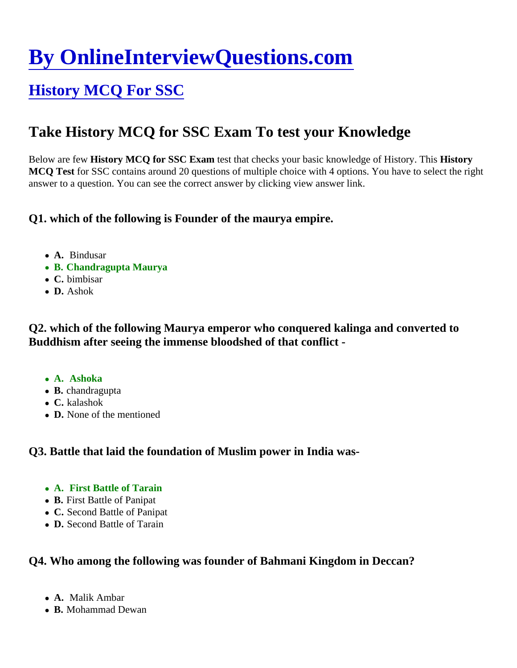# [By OnlineInterviewQuestions.com](https://www.onlineinterviewquestions.com/)

## [History MCQ For SSC](https://www.onlineinterviewquestions.com/history-mcq-for-ssc/)

### Take History MCQ for SSC Exam To test your Knowledge

Below are few History MCQ for SSC Exam test that checks your basic knowledge of History. Thistory MCQ Test for SSC contains around 20 questions of multiple choice with 4 options. You have to select the right answer to a question. You can see the correct answer by clicking view answer link.

Q1. which of the following is Founder of the maurya empire.

- A. Bindusar
- B. Chandragupta Maurya
- C. bimbisar
- D. Ashok

Q2. which of the following Maurya emperor who conquered kalinga and converted to Buddhism after seeing the immense bloodshed of that conflict -

- A. Ashoka
- B. chandragupta
- C. kalashok
- D. None of the mentioned

Q3. Battle that laid the foundation of Muslim power in India was-

- A. First Battle of Tarain
- B. First Battle of Panipat
- C. Second Battle of Panipat
- D. Second Battle of Tarain

Q4. Who among the following was founder of Bahmani Kingdom in Deccan?

- A. Malik Ambar
- B. Mohammad Dewan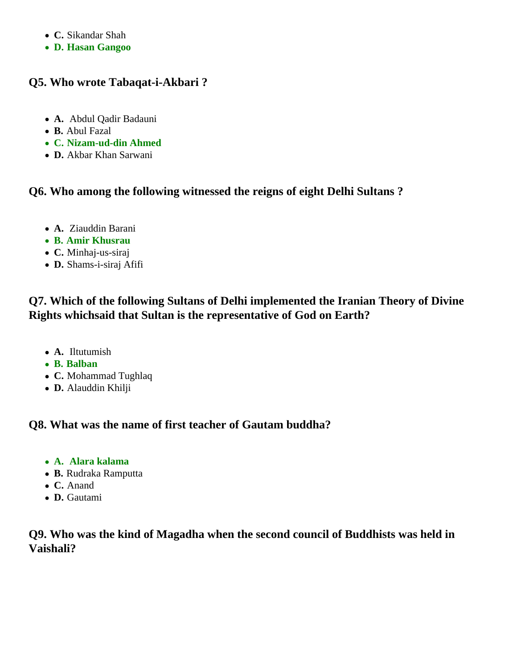- **C.** Sikandar Shah
- **D. Hasan Gangoo**

#### **Q5. Who wrote Tabaqat-i-Akbari ?**

- **A.** Abdul Qadir Badauni
- **B.** Abul Fazal
- **C. Nizam-ud-din Ahmed**
- **D.** Akbar Khan Sarwani

#### **Q6. Who among the following witnessed the reigns of eight Delhi Sultans ?**

- **A.** Ziauddin Barani
- **B. Amir Khusrau**
- **C.** Minhaj-us-siraj
- **D.** Shams-i-siraj Afifi

#### **Q7. Which of the following Sultans of Delhi implemented the Iranian Theory of Divine Rights whichsaid that Sultan is the representative of God on Earth?**

- **A.** Iltutumish
- **B. Balban**
- **C.** Mohammad Tughlaq
- **D.** Alauddin Khilji

#### **Q8. What was the name of first teacher of Gautam buddha?**

- **A. Alara kalama**
- **B.** Rudraka Ramputta
- **C.** Anand
- **D.** Gautami

#### **Q9. Who was the kind of Magadha when the second council of Buddhists was held in Vaishali?**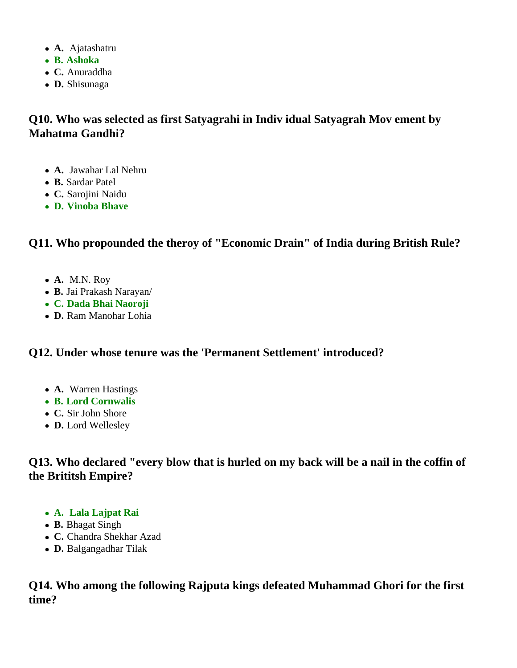- **A.** Ajatashatru
- **B. Ashoka**
- **C.** Anuraddha
- **D.** Shisunaga

#### **Q10. Who was selected as first Satyagrahi in Indiv idual Satyagrah Mov ement by Mahatma Gandhi?**

- **A.** Jawahar Lal Nehru
- **B.** Sardar Patel
- **C.** Sarojini Naidu
- **D. Vinoba Bhave**

#### **Q11. Who propounded the theroy of "Economic Drain" of India during British Rule?**

- **A.** M.N. Roy
- **B.** Jai Prakash Narayan/
- **C. Dada Bhai Naoroji**
- **D.** Ram Manohar Lohia

#### **Q12. Under whose tenure was the 'Permanent Settlement' introduced?**

- **A.** Warren Hastings
- **B. Lord Cornwalis**
- **C.** Sir John Shore
- **D.** Lord Wellesley

**Q13. Who declared "every blow that is hurled on my back will be a nail in the coffin of the Brititsh Empire?**

- **A. Lala Lajpat Rai**
- **B.** Bhagat Singh
- **C.** Chandra Shekhar Azad
- **D.** Balgangadhar Tilak

**Q14. Who among the following Rajputa kings defeated Muhammad Ghori for the first time?**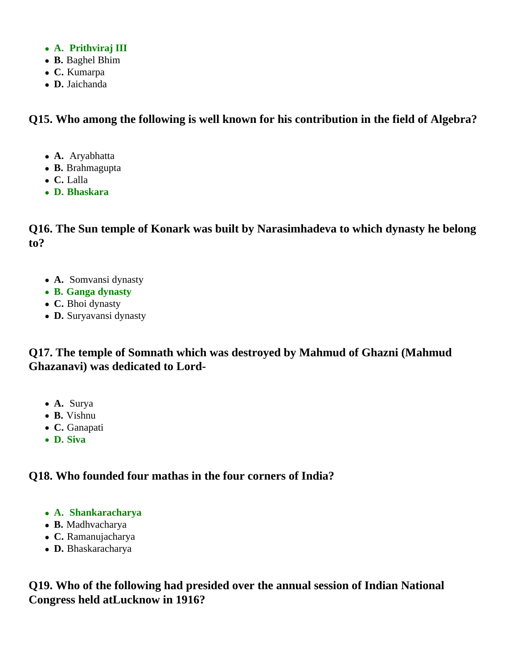- **A. Prithviraj III**
- **B.** Baghel Bhim
- **C.** Kumarpa
- **D.** Jaichanda

#### **Q15. Who among the following is well known for his contribution in the field of Algebra?**

- **A.** Aryabhatta
- **B.** Brahmagupta
- **C.** Lalla
- **D. Bhaskara**

**Q16. The Sun temple of Konark was built by Narasimhadeva to which dynasty he belong to?**

- **A.** Somvansi dynasty
- **B. Ganga dynasty**
- **C.** Bhoi dynasty
- **D.** Suryavansi dynasty

#### **Q17. The temple of Somnath which was destroyed by Mahmud of Ghazni (Mahmud Ghazanavi) was dedicated to Lord-**

- **A.** Surya
- **B.** Vishnu
- **C.** Ganapati
- **D. Siva**

#### **Q18. Who founded four mathas in the four corners of India?**

- **A. Shankaracharya**
- **B.** Madhvacharya
- **C.** Ramanujacharya
- **D.** Bhaskaracharya

**Q19. Who of the following had presided over the annual session of Indian National Congress held atLucknow in 1916?**